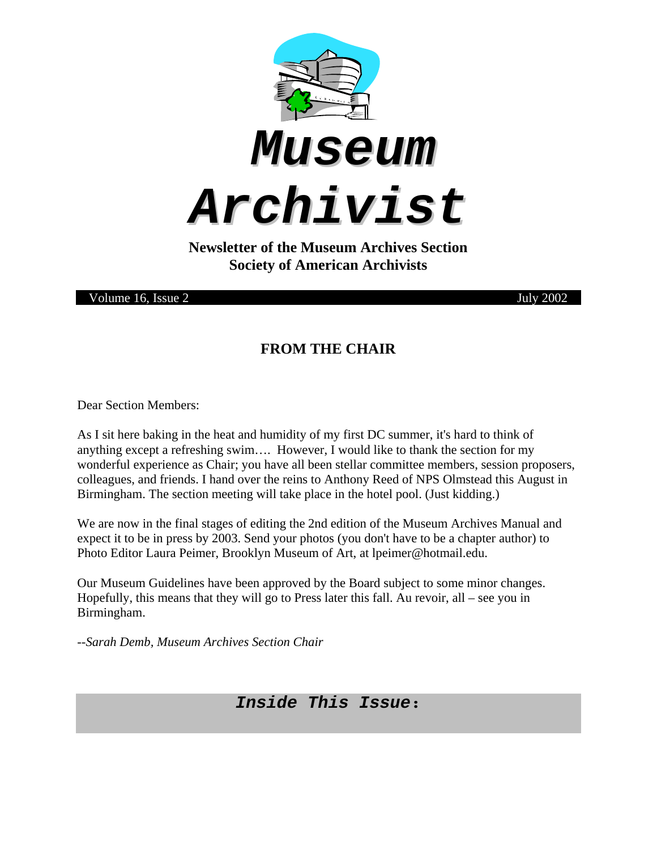





**Newsletter of the Museum Archives Section Society of American Archivists** 

Volume 16, Issue 2 July 2002

### **FROM THE CHAIR**

Dear Section Members:

As I sit here baking in the heat and humidity of my first DC summer, it's hard to think of anything except a refreshing swim…. However, I would like to thank the section for my wonderful experience as Chair; you have all been stellar committee members, session proposers, colleagues, and friends. I hand over the reins to Anthony Reed of NPS Olmstead this August in Birmingham. The section meeting will take place in the hotel pool. (Just kidding.)

We are now in the final stages of editing the 2nd edition of the Museum Archives Manual and expect it to be in press by 2003. Send your photos (you don't have to be a chapter author) to Photo Editor Laura Peimer, Brooklyn Museum of Art, at lpeimer@hotmail.edu.

Our Museum Guidelines have been approved by the Board subject to some minor changes. Hopefully, this means that they will go to Press later this fall. Au revoir, all – see you in Birmingham.

*--Sarah Demb, Museum Archives Section Chair* 

# *Inside This Issue***:**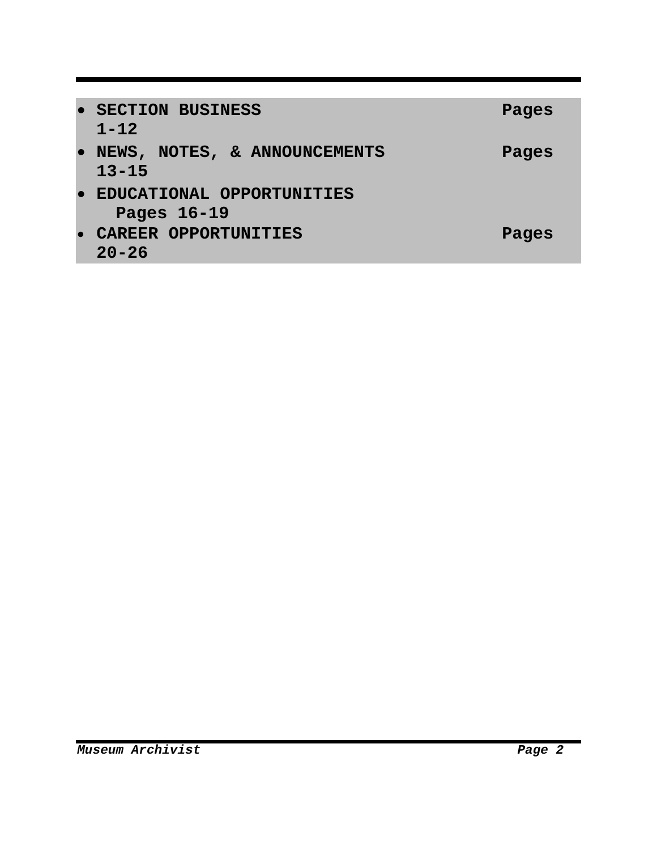| $\bullet$ | <b>SECTION BUSINESS</b>      | Pages |
|-----------|------------------------------|-------|
|           | $1 - 12$                     |       |
| $\bullet$ | NEWS, NOTES, & ANNOUNCEMENTS | Pages |
|           | $13 - 15$                    |       |
| $\bullet$ | EDUCATIONAL OPPORTUNITIES    |       |
|           | Pages 16-19                  |       |
|           | CAREER OPPORTUNITIES         | Pages |
|           | $20 - 26$                    |       |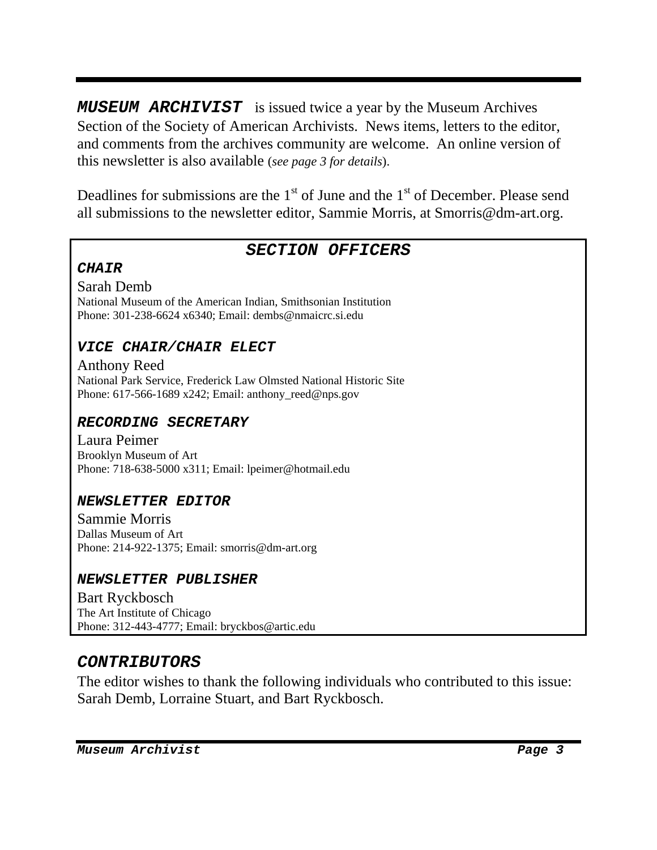*MUSEUM ARCHIVIST* is issued twice a year by the Museum Archives Section of the Society of American Archivists. News items, letters to the editor, and comments from the archives community are welcome. An online version of this newsletter is also available (*see page 3 for details*).

Deadlines for submissions are the  $1<sup>st</sup>$  of June and the  $1<sup>st</sup>$  of December. Please send all submissions to the newsletter editor, Sammie Morris, at Smorris@dm-art.org.

### *SECTION OFFICERS*

#### *CHAIR*

Sarah Demb

National Museum of the American Indian, Smithsonian Institution Phone: 301-238-6624 x6340; Email: dembs@nmaicrc.si.edu

#### *VICE CHAIR/CHAIR ELECT*

Anthony Reed National Park Service, Frederick Law Olmsted National Historic Site Phone:  $617-566-1689$  x242; Email: anthony reed@nps.gov

#### *RECORDING SECRETARY*

Laura Peimer Brooklyn Museum of Art Phone: 718-638-5000 x311; Email: lpeimer@hotmail.edu

#### *NEWSLETTER EDITOR*

Sammie Morris Dallas Museum of Art Phone: 214-922-1375; Email: smorris@dm-art.org

#### *NEWSLETTER PUBLISHER*

Bart Ryckbosch The Art Institute of Chicago Phone: 312-443-4777; Email: bryckbos@artic.edu

### *CONTRIBUTORS*

The editor wishes to thank the following individuals who contributed to this issue: Sarah Demb, Lorraine Stuart, and Bart Ryckbosch.

*Museum Archivist Page 3*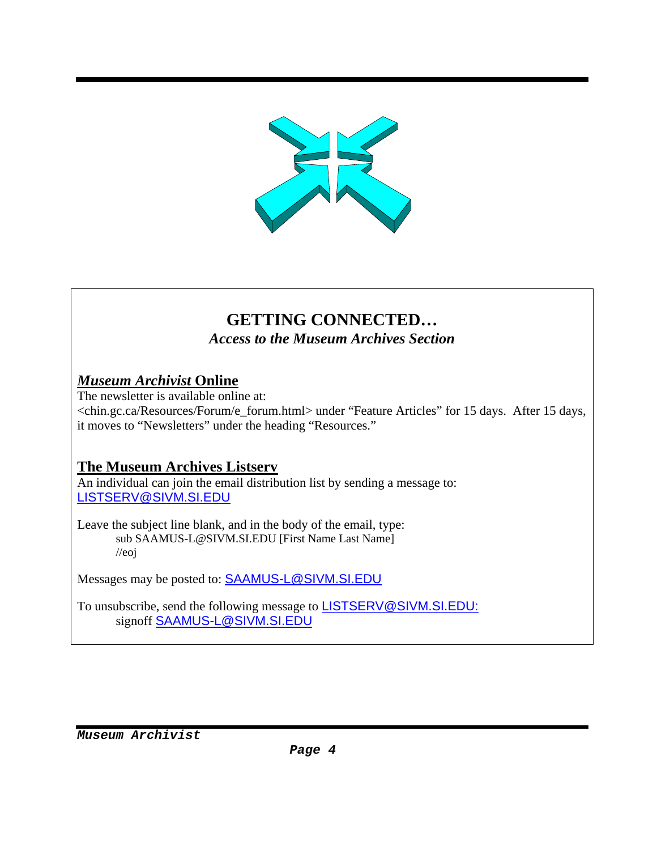

# **GETTING CONNECTED…**

*Access to the Museum Archives Section* 

### *Museum Archivist* **Online**

The newsletter is available online at: <chin.gc.ca/Resources/Forum/e\_forum.html> under "Feature Articles" for 15 days. After 15 days, it moves to "Newsletters" under the heading "Resources."

# **The Museum Archives Listserv**

An individual can join the email distribution list by sending a message to: LISTSERV@SIVM.SI.EDU

Leave the subject line blank, and in the body of the email, type: sub SAAMUS-L@SIVM.SI.EDU [First Name Last Name] //eoj

Messages may be posted to: SAAMUS-L@SIVM.SI.EDU

To unsubscribe, send the following message to **LISTSERV@SIVM.SI.EDU:** signoff SAAMUS-L@SIVM.SI.EDU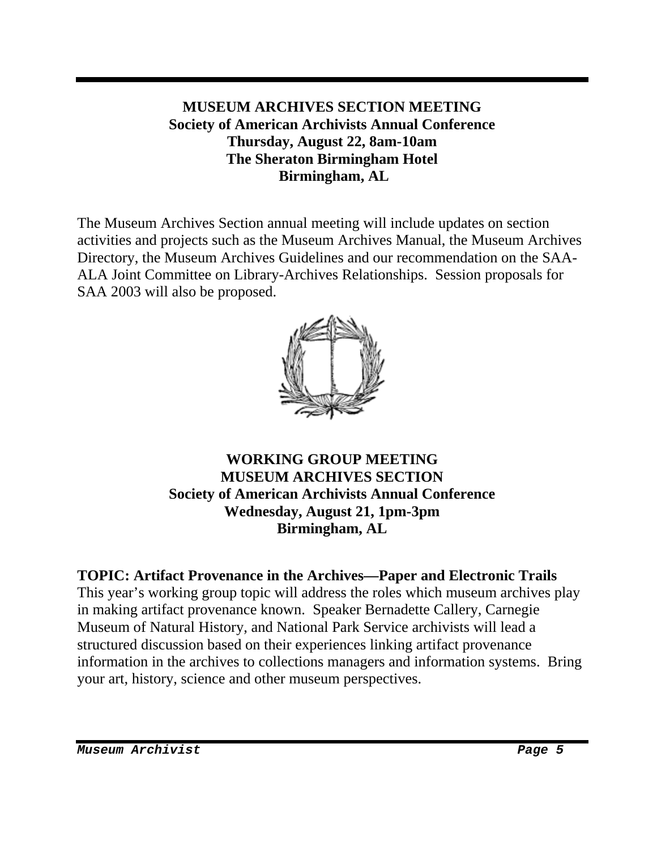### **MUSEUM ARCHIVES SECTION MEETING Society of American Archivists Annual Conference Thursday, August 22, 8am-10am The Sheraton Birmingham Hotel Birmingham, AL**

The Museum Archives Section annual meeting will include updates on section activities and projects such as the Museum Archives Manual, the Museum Archives Directory, the Museum Archives Guidelines and our recommendation on the SAA-ALA Joint Committee on Library-Archives Relationships. Session proposals for SAA 2003 will also be proposed.



#### **WORKING GROUP MEETING MUSEUM ARCHIVES SECTION Society of American Archivists Annual Conference Wednesday, August 21, 1pm-3pm Birmingham, AL**

#### **TOPIC: Artifact Provenance in the Archives—Paper and Electronic Trails**  This year's working group topic will address the roles which museum archives play in making artifact provenance known. Speaker Bernadette Callery, Carnegie Museum of Natural History, and National Park Service archivists will lead a structured discussion based on their experiences linking artifact provenance information in the archives to collections managers and information systems. Bring your art, history, science and other museum perspectives.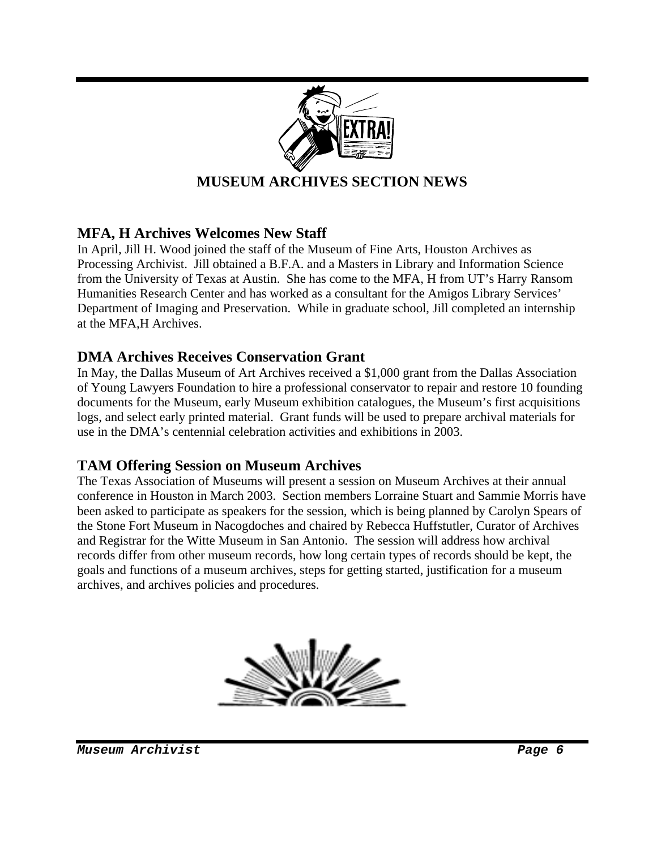

### **MFA, H Archives Welcomes New Staff**

In April, Jill H. Wood joined the staff of the Museum of Fine Arts, Houston Archives as Processing Archivist. Jill obtained a B.F.A. and a Masters in Library and Information Science from the University of Texas at Austin. She has come to the MFA, H from UT's Harry Ransom Humanities Research Center and has worked as a consultant for the Amigos Library Services' Department of Imaging and Preservation. While in graduate school, Jill completed an internship at the MFA,H Archives.

#### **DMA Archives Receives Conservation Grant**

In May, the Dallas Museum of Art Archives received a \$1,000 grant from the Dallas Association of Young Lawyers Foundation to hire a professional conservator to repair and restore 10 founding documents for the Museum, early Museum exhibition catalogues, the Museum's first acquisitions logs, and select early printed material. Grant funds will be used to prepare archival materials for use in the DMA's centennial celebration activities and exhibitions in 2003.

#### **TAM Offering Session on Museum Archives**

The Texas Association of Museums will present a session on Museum Archives at their annual conference in Houston in March 2003. Section members Lorraine Stuart and Sammie Morris have been asked to participate as speakers for the session, which is being planned by Carolyn Spears of the Stone Fort Museum in Nacogdoches and chaired by Rebecca Huffstutler, Curator of Archives and Registrar for the Witte Museum in San Antonio. The session will address how archival records differ from other museum records, how long certain types of records should be kept, the goals and functions of a museum archives, steps for getting started, justification for a museum archives, and archives policies and procedures.

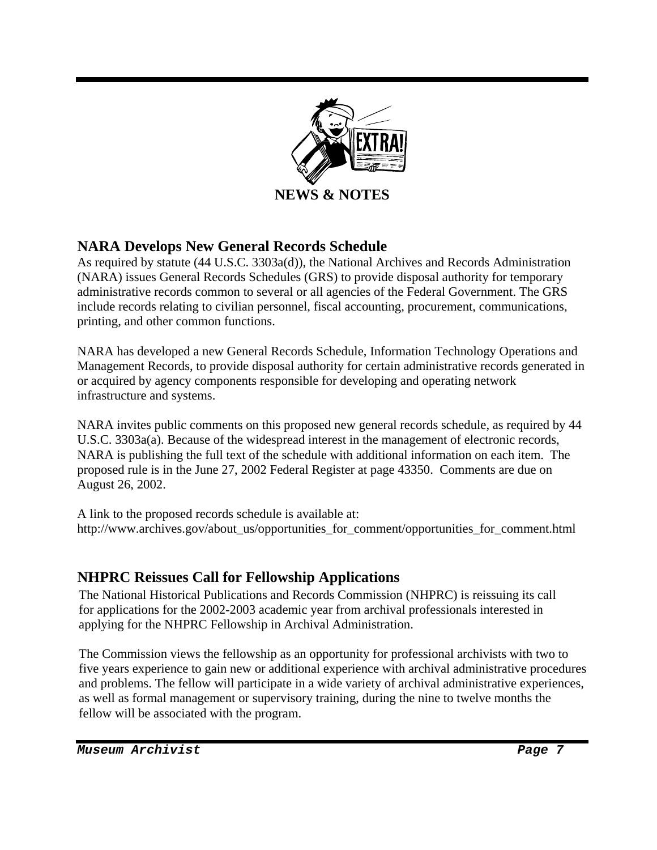

### **NARA Develops New General Records Schedule**

As required by statute (44 U.S.C. 3303a(d)), the National Archives and Records Administration (NARA) issues General Records Schedules (GRS) to provide disposal authority for temporary administrative records common to several or all agencies of the Federal Government. The GRS include records relating to civilian personnel, fiscal accounting, procurement, communications, printing, and other common functions.

NARA has developed a new General Records Schedule, Information Technology Operations and Management Records, to provide disposal authority for certain administrative records generated in or acquired by agency components responsible for developing and operating network infrastructure and systems.

NARA invites public comments on this proposed new general records schedule, as required by 44 U.S.C. 3303a(a). Because of the widespread interest in the management of electronic records, NARA is publishing the full text of the schedule with additional information on each item. The proposed rule is in the June 27, 2002 Federal Register at page 43350. Comments are due on August 26, 2002.

A link to the proposed records schedule is available at: http://www.archives.gov/about\_us/opportunities\_for\_comment/opportunities\_for\_comment.html

#### **NHPRC Reissues Call for Fellowship Applications**

The National Historical Publications and Records Commission (NHPRC) is reissuing its call for applications for the 2002-2003 academic year from archival professionals interested in applying for the NHPRC Fellowship in Archival Administration.

The Commission views the fellowship as an opportunity for professional archivists with two to five years experience to gain new or additional experience with archival administrative procedures and problems. The fellow will participate in a wide variety of archival administrative experiences, as well as formal management or supervisory training, during the nine to twelve months the fellow will be associated with the program.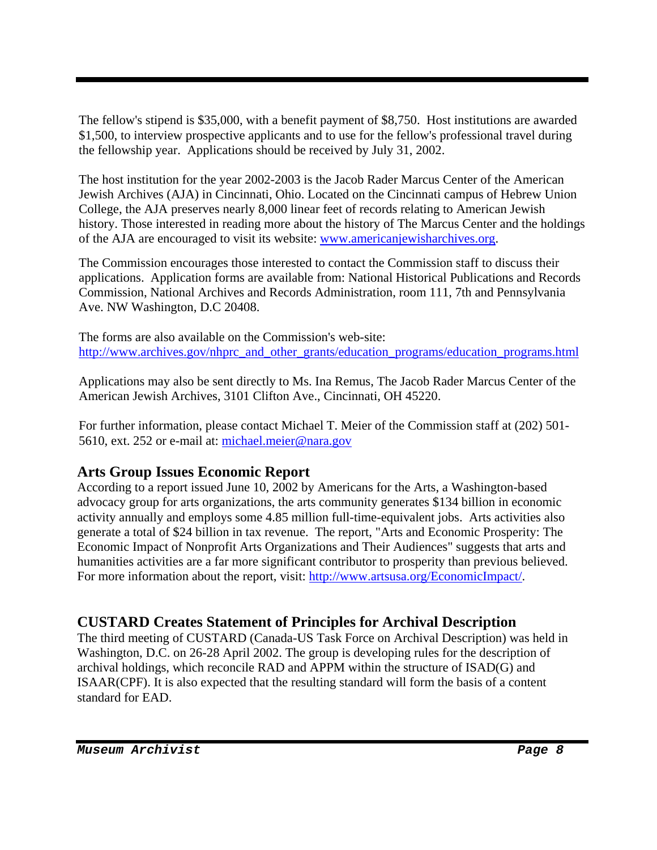The fellow's stipend is \$35,000, with a benefit payment of \$8,750. Host institutions are awarded \$1,500, to interview prospective applicants and to use for the fellow's professional travel during the fellowship year. Applications should be received by July 31, 2002.

The host institution for the year 2002-2003 is the Jacob Rader Marcus Center of the American Jewish Archives (AJA) in Cincinnati, Ohio. Located on the Cincinnati campus of Hebrew Union College, the AJA preserves nearly 8,000 linear feet of records relating to American Jewish history. Those interested in reading more about the history of The Marcus Center and the holdings of the AJA are encouraged to visit its website: www.americanjewisharchives.org.

The Commission encourages those interested to contact the Commission staff to discuss their applications. Application forms are available from: National Historical Publications and Records Commission, National Archives and Records Administration, room 111, 7th and Pennsylvania Ave. NW Washington, D.C 20408.

The forms are also available on the Commission's web-site: http://www.archives.gov/nhprc\_and\_other\_grants/education\_programs/education\_programs.html

Applications may also be sent directly to Ms. Ina Remus, The Jacob Rader Marcus Center of the American Jewish Archives, 3101 Clifton Ave., Cincinnati, OH 45220.

For further information, please contact Michael T. Meier of the Commission staff at (202) 501- 5610, ext. 252 or e-mail at: michael.meier@nara.gov

# **Arts Group Issues Economic Report**

According to a report issued June 10, 2002 by Americans for the Arts, a Washington-based advocacy group for arts organizations, the arts community generates \$134 billion in economic activity annually and employs some 4.85 million full-time-equivalent jobs. Arts activities also generate a total of \$24 billion in tax revenue. The report, "Arts and Economic Prosperity: The Economic Impact of Nonprofit Arts Organizations and Their Audiences" suggests that arts and humanities activities are a far more significant contributor to prosperity than previous believed. For more information about the report, visit: http://www.artsusa.org/EconomicImpact/.

# **CUSTARD Creates Statement of Principles for Archival Description**

The third meeting of CUSTARD (Canada-US Task Force on Archival Description) was held in Washington, D.C. on 26-28 April 2002. The group is developing rules for the description of archival holdings, which reconcile RAD and APPM within the structure of ISAD(G) and ISAAR(CPF). It is also expected that the resulting standard will form the basis of a content standard for EAD.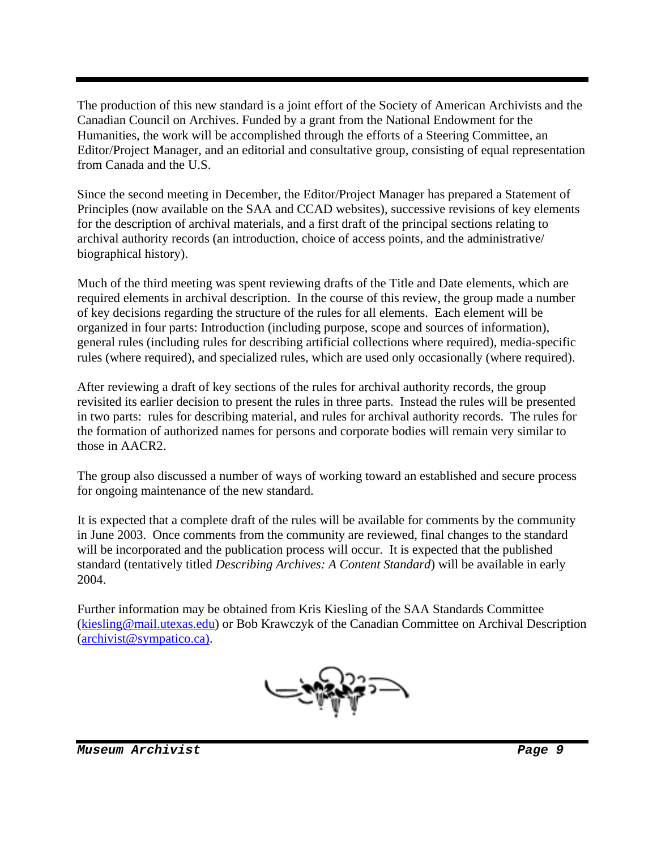The production of this new standard is a joint effort of the Society of American Archivists and the Canadian Council on Archives. Funded by a grant from the National Endowment for the Humanities, the work will be accomplished through the efforts of a Steering Committee, an Editor/Project Manager, and an editorial and consultative group, consisting of equal representation from Canada and the U.S.

Since the second meeting in December, the Editor/Project Manager has prepared a Statement of Principles (now available on the SAA and CCAD websites), successive revisions of key elements for the description of archival materials, and a first draft of the principal sections relating to archival authority records (an introduction, choice of access points, and the administrative/ biographical history).

Much of the third meeting was spent reviewing drafts of the Title and Date elements, which are required elements in archival description. In the course of this review, the group made a number of key decisions regarding the structure of the rules for all elements. Each element will be organized in four parts: Introduction (including purpose, scope and sources of information), general rules (including rules for describing artificial collections where required), media-specific rules (where required), and specialized rules, which are used only occasionally (where required).

After reviewing a draft of key sections of the rules for archival authority records, the group revisited its earlier decision to present the rules in three parts. Instead the rules will be presented in two parts: rules for describing material, and rules for archival authority records. The rules for the formation of authorized names for persons and corporate bodies will remain very similar to those in AACR2.

The group also discussed a number of ways of working toward an established and secure process for ongoing maintenance of the new standard.

It is expected that a complete draft of the rules will be available for comments by the community in June 2003. Once comments from the community are reviewed, final changes to the standard will be incorporated and the publication process will occur. It is expected that the published standard (tentatively titled *Describing Archives: A Content Standard*) will be available in early 2004.

Further information may be obtained from Kris Kiesling of the SAA Standards Committee (kiesling@mail.utexas.edu) or Bob Krawczyk of the Canadian Committee on Archival Description (archivist@sympatico.ca).

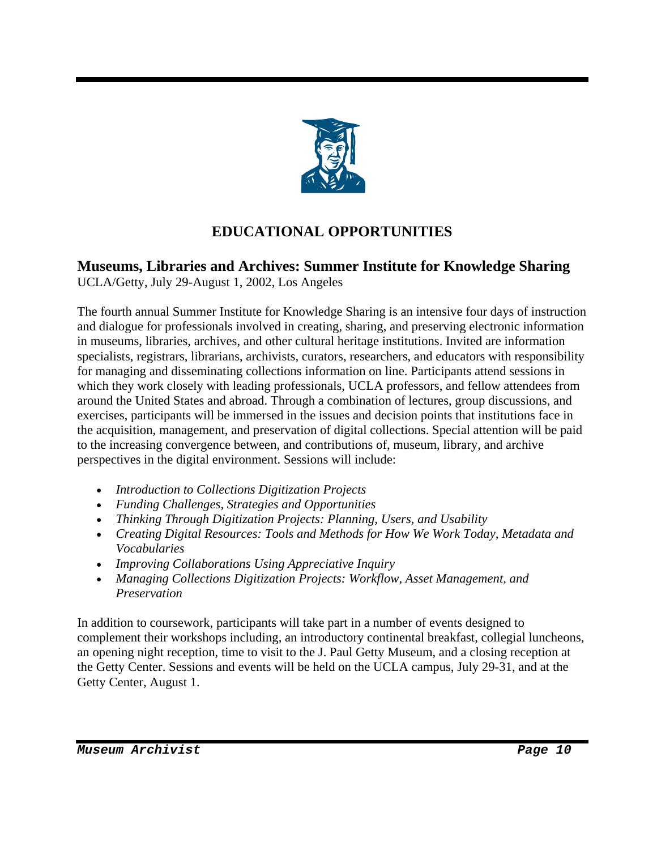

# **EDUCATIONAL OPPORTUNITIES**

#### **Museums, Libraries and Archives: Summer Institute for Knowledge Sharing**  UCLA/Getty, July 29-August 1, 2002, Los Angeles

The fourth annual Summer Institute for Knowledge Sharing is an intensive four days of instruction and dialogue for professionals involved in creating, sharing, and preserving electronic information in museums, libraries, archives, and other cultural heritage institutions. Invited are information specialists, registrars, librarians, archivists, curators, researchers, and educators with responsibility for managing and disseminating collections information on line. Participants attend sessions in which they work closely with leading professionals, UCLA professors, and fellow attendees from around the United States and abroad. Through a combination of lectures, group discussions, and exercises, participants will be immersed in the issues and decision points that institutions face in the acquisition, management, and preservation of digital collections. Special attention will be paid to the increasing convergence between, and contributions of, museum, library, and archive perspectives in the digital environment. Sessions will include:

- *Introduction to Collections Digitization Projects*
- *Funding Challenges, Strategies and Opportunities*
- *Thinking Through Digitization Projects: Planning, Users, and Usability*
- *Creating Digital Resources: Tools and Methods for How We Work Today, Metadata and Vocabularies*
- *Improving Collaborations Using Appreciative Inquiry*
- *Managing Collections Digitization Projects: Workflow, Asset Management, and Preservation*

In addition to coursework, participants will take part in a number of events designed to complement their workshops including, an introductory continental breakfast, collegial luncheons, an opening night reception, time to visit to the J. Paul Getty Museum, and a closing reception at the Getty Center. Sessions and events will be held on the UCLA campus, July 29-31, and at the Getty Center, August 1.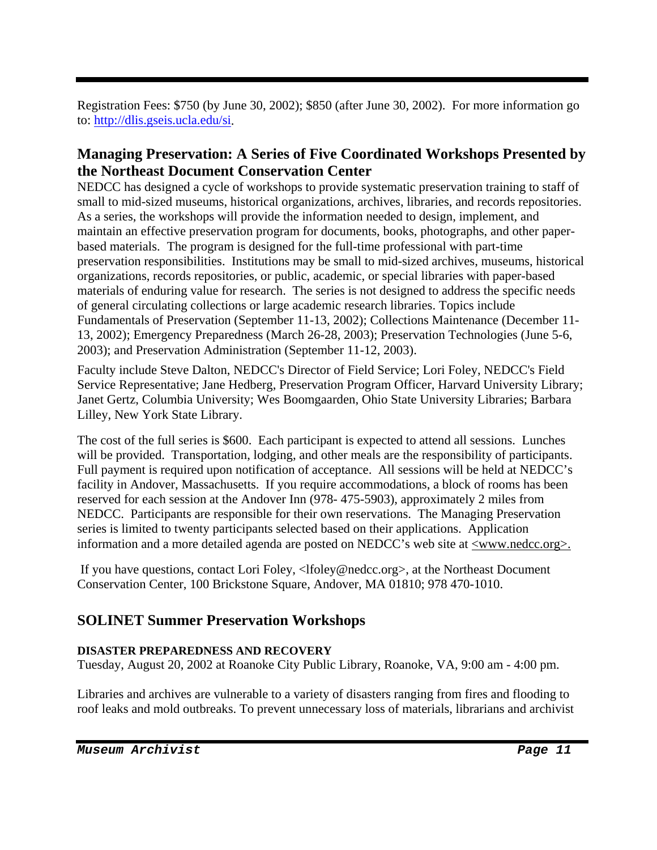Registration Fees: \$750 (by June 30, 2002); \$850 (after June 30, 2002). For more information go to: http://dlis.gseis.ucla.edu/si.

### **Managing Preservation: A Series of Five Coordinated Workshops Presented by the Northeast Document Conservation Center**

NEDCC has designed a cycle of workshops to provide systematic preservation training to staff of small to mid-sized museums, historical organizations, archives, libraries, and records repositories. As a series, the workshops will provide the information needed to design, implement, and maintain an effective preservation program for documents, books, photographs, and other paperbased materials. The program is designed for the full-time professional with part-time preservation responsibilities. Institutions may be small to mid-sized archives, museums, historical organizations, records repositories, or public, academic, or special libraries with paper-based materials of enduring value for research. The series is not designed to address the specific needs of general circulating collections or large academic research libraries. Topics include Fundamentals of Preservation (September 11-13, 2002); Collections Maintenance (December 11- 13, 2002); Emergency Preparedness (March 26-28, 2003); Preservation Technologies (June 5-6, 2003); and Preservation Administration (September 11-12, 2003).

Faculty include Steve Dalton, NEDCC's Director of Field Service; Lori Foley, NEDCC's Field Service Representative; Jane Hedberg, Preservation Program Officer, Harvard University Library; Janet Gertz, Columbia University; Wes Boomgaarden, Ohio State University Libraries; Barbara Lilley, New York State Library.

The cost of the full series is \$600. Each participant is expected to attend all sessions. Lunches will be provided. Transportation, lodging, and other meals are the responsibility of participants. Full payment is required upon notification of acceptance. All sessions will be held at NEDCC's facility in Andover, Massachusetts. If you require accommodations, a block of rooms has been reserved for each session at the Andover Inn (978- 475-5903), approximately 2 miles from NEDCC. Participants are responsible for their own reservations. The Managing Preservation series is limited to twenty participants selected based on their applications. Application information and a more detailed agenda are posted on NEDCC's web site at  $\leq$ www.nedcc.org $\geq$ .

 If you have questions, contact Lori Foley, <lfoley@nedcc.org>, at the Northeast Document Conservation Center, 100 Brickstone Square, Andover, MA 01810; 978 470-1010.

### **SOLINET Summer Preservation Workshops**

#### **DISASTER PREPAREDNESS AND RECOVERY**

Tuesday, August 20, 2002 at Roanoke City Public Library, Roanoke, VA, 9:00 am - 4:00 pm.

Libraries and archives are vulnerable to a variety of disasters ranging from fires and flooding to roof leaks and mold outbreaks. To prevent unnecessary loss of materials, librarians and archivist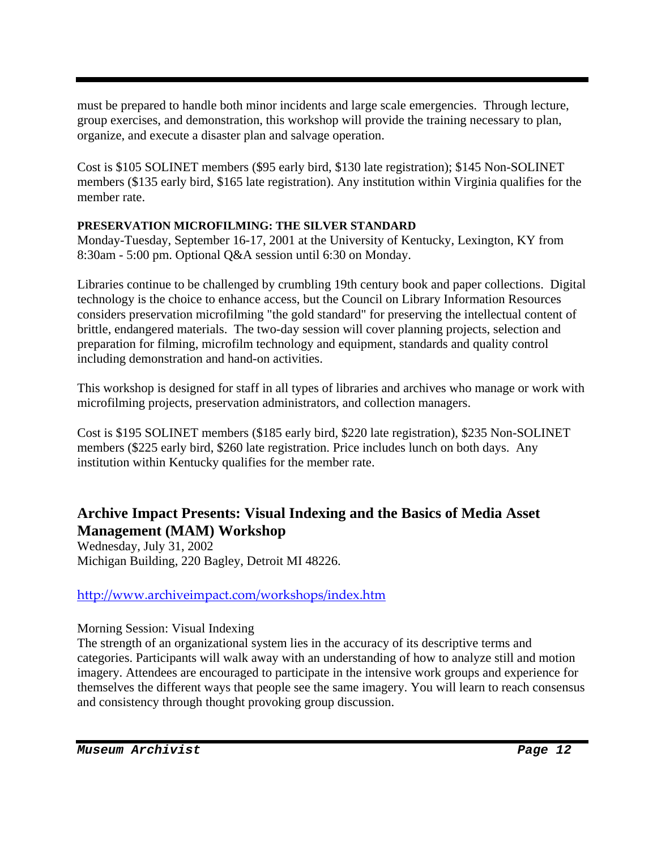must be prepared to handle both minor incidents and large scale emergencies. Through lecture, group exercises, and demonstration, this workshop will provide the training necessary to plan, organize, and execute a disaster plan and salvage operation.

Cost is \$105 SOLINET members (\$95 early bird, \$130 late registration); \$145 Non-SOLINET members (\$135 early bird, \$165 late registration). Any institution within Virginia qualifies for the member rate.

#### **PRESERVATION MICROFILMING: THE SILVER STANDARD**

Monday-Tuesday, September 16-17, 2001 at the University of Kentucky, Lexington, KY from 8:30am - 5:00 pm. Optional Q&A session until 6:30 on Monday.

Libraries continue to be challenged by crumbling 19th century book and paper collections. Digital technology is the choice to enhance access, but the Council on Library Information Resources considers preservation microfilming "the gold standard" for preserving the intellectual content of brittle, endangered materials. The two-day session will cover planning projects, selection and preparation for filming, microfilm technology and equipment, standards and quality control including demonstration and hand-on activities.

This workshop is designed for staff in all types of libraries and archives who manage or work with microfilming projects, preservation administrators, and collection managers.

Cost is \$195 SOLINET members (\$185 early bird, \$220 late registration), \$235 Non-SOLINET members (\$225 early bird, \$260 late registration. Price includes lunch on both days. Any institution within Kentucky qualifies for the member rate.

### **Archive Impact Presents: Visual Indexing and the Basics of Media Asset Management (MAM) Workshop**

Wednesday, July 31, 2002 Michigan Building, 220 Bagley, Detroit MI 48226.

#### http://www.archiveimpact.com/workshops/index.htm

Morning Session: Visual Indexing

The strength of an organizational system lies in the accuracy of its descriptive terms and categories. Participants will walk away with an understanding of how to analyze still and motion imagery. Attendees are encouraged to participate in the intensive work groups and experience for themselves the different ways that people see the same imagery. You will learn to reach consensus and consistency through thought provoking group discussion.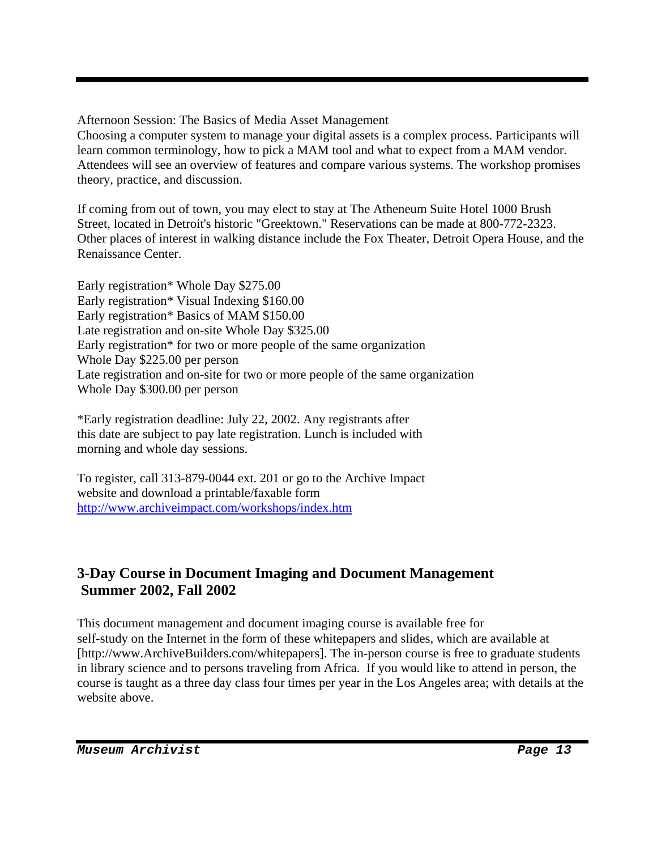Afternoon Session: The Basics of Media Asset Management

Choosing a computer system to manage your digital assets is a complex process. Participants will learn common terminology, how to pick a MAM tool and what to expect from a MAM vendor. Attendees will see an overview of features and compare various systems. The workshop promises theory, practice, and discussion.

If coming from out of town, you may elect to stay at The Atheneum Suite Hotel 1000 Brush Street, located in Detroit's historic "Greektown." Reservations can be made at 800-772-2323. Other places of interest in walking distance include the Fox Theater, Detroit Opera House, and the Renaissance Center.

Early registration\* Whole Day \$275.00 Early registration\* Visual Indexing \$160.00 Early registration\* Basics of MAM \$150.00 Late registration and on-site Whole Day \$325.00 Early registration\* for two or more people of the same organization Whole Day \$225.00 per person Late registration and on-site for two or more people of the same organization Whole Day \$300.00 per person

\*Early registration deadline: July 22, 2002. Any registrants after this date are subject to pay late registration. Lunch is included with morning and whole day sessions.

To register, call 313-879-0044 ext. 201 or go to the Archive Impact website and download a printable/faxable form http://www.archiveimpact.com/workshops/index.htm

### **3-Day Course in Document Imaging and Document Management Summer 2002, Fall 2002**

This document management and document imaging course is available free for self-study on the Internet in the form of these whitepapers and slides, which are available at [http://www.ArchiveBuilders.com/whitepapers]. The in-person course is free to graduate students in library science and to persons traveling from Africa. If you would like to attend in person, the course is taught as a three day class four times per year in the Los Angeles area; with details at the website above.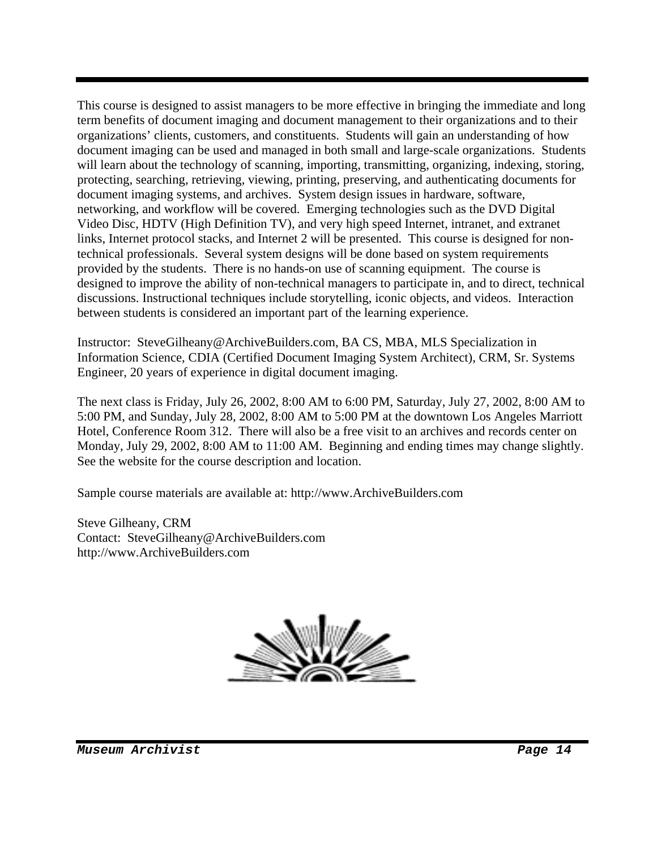This course is designed to assist managers to be more effective in bringing the immediate and long term benefits of document imaging and document management to their organizations and to their organizations' clients, customers, and constituents. Students will gain an understanding of how document imaging can be used and managed in both small and large-scale organizations. Students will learn about the technology of scanning, importing, transmitting, organizing, indexing, storing, protecting, searching, retrieving, viewing, printing, preserving, and authenticating documents for document imaging systems, and archives. System design issues in hardware, software, networking, and workflow will be covered. Emerging technologies such as the DVD Digital Video Disc, HDTV (High Definition TV), and very high speed Internet, intranet, and extranet links, Internet protocol stacks, and Internet 2 will be presented. This course is designed for nontechnical professionals. Several system designs will be done based on system requirements provided by the students. There is no hands-on use of scanning equipment. The course is designed to improve the ability of non-technical managers to participate in, and to direct, technical discussions. Instructional techniques include storytelling, iconic objects, and videos. Interaction between students is considered an important part of the learning experience.

Instructor: SteveGilheany@ArchiveBuilders.com, BA CS, MBA, MLS Specialization in Information Science, CDIA (Certified Document Imaging System Architect), CRM, Sr. Systems Engineer, 20 years of experience in digital document imaging.

The next class is Friday, July 26, 2002, 8:00 AM to 6:00 PM, Saturday, July 27, 2002, 8:00 AM to 5:00 PM, and Sunday, July 28, 2002, 8:00 AM to 5:00 PM at the downtown Los Angeles Marriott Hotel, Conference Room 312. There will also be a free visit to an archives and records center on Monday, July 29, 2002, 8:00 AM to 11:00 AM. Beginning and ending times may change slightly. See the website for the course description and location.

Sample course materials are available at: http://www.ArchiveBuilders.com

Steve Gilheany, CRM Contact: SteveGilheany@ArchiveBuilders.com http://www.ArchiveBuilders.com